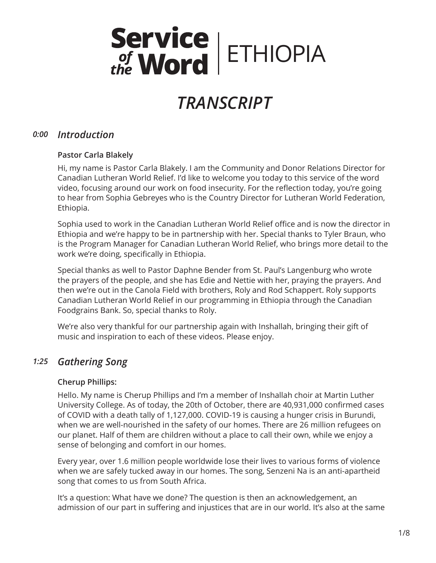# Service<br>
FIHIOPIA

# *TRANSCRIPT*

# *Introduction 0:00*

# **Pastor Carla Blakely**

Hi, my name is Pastor Carla Blakely. I am the Community and Donor Relations Director for Canadian Lutheran World Relief. I'd like to welcome you today to this service of the word video, focusing around our work on food insecurity. For the reflection today, you're going to hear from Sophia Gebreyes who is the Country Director for Lutheran World Federation, Ethiopia.

Sophia used to work in the Canadian Lutheran World Relief office and is now the director in Ethiopia and we're happy to be in partnership with her. Special thanks to Tyler Braun, who is the Program Manager for Canadian Lutheran World Relief, who brings more detail to the work we're doing, specifically in Ethiopia.

Special thanks as well to Pastor Daphne Bender from St. Paul's Langenburg who wrote the prayers of the people, and she has Edie and Nettie with her, praying the prayers. And then we're out in the Canola Field with brothers, Roly and Rod Schappert. Roly supports Canadian Lutheran World Relief in our programming in Ethiopia through the Canadian Foodgrains Bank. So, special thanks to Roly.

We're also very thankful for our partnership again with Inshallah, bringing their gift of music and inspiration to each of these videos. Please enjoy.

# *Gathering Song 1:25*

# **Cherup Phillips:**

Hello. My name is Cherup Phillips and I'm a member of Inshallah choir at Martin Luther University College. As of today, the 20th of October, there are 40,931,000 confirmed cases of COVID with a death tally of 1,127,000. COVID-19 is causing a hunger crisis in Burundi, when we are well-nourished in the safety of our homes. There are 26 million refugees on our planet. Half of them are children without a place to call their own, while we enjoy a sense of belonging and comfort in our homes.

Every year, over 1.6 million people worldwide lose their lives to various forms of violence when we are safely tucked away in our homes. The song, Senzeni Na is an anti-apartheid song that comes to us from South Africa.

It's a question: What have we done? The question is then an acknowledgement, an admission of our part in suffering and injustices that are in our world. It's also at the same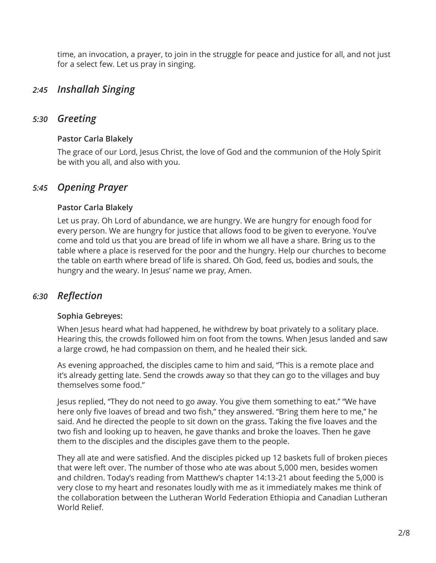time, an invocation, a prayer, to join in the struggle for peace and justice for all, and not just for a select few. Let us pray in singing.

# *Inshallah Singing 2:45*

# *Greeting 5:30*

## **Pastor Carla Blakely**

The grace of our Lord, Jesus Christ, the love of God and the communion of the Holy Spirit be with you all, and also with you.

# *Opening Prayer 5:45*

### **Pastor Carla Blakely**

Let us pray. Oh Lord of abundance, we are hungry. We are hungry for enough food for every person. We are hungry for justice that allows food to be given to everyone. You've come and told us that you are bread of life in whom we all have a share. Bring us to the table where a place is reserved for the poor and the hungry. Help our churches to become the table on earth where bread of life is shared. Oh God, feed us, bodies and souls, the hungry and the weary. In Jesus' name we pray, Amen.

# *Reflection 6:30*

### **Sophia Gebreyes:**

When Jesus heard what had happened, he withdrew by boat privately to a solitary place. Hearing this, the crowds followed him on foot from the towns. When Jesus landed and saw a large crowd, he had compassion on them, and he healed their sick.

As evening approached, the disciples came to him and said, "This is a remote place and it's already getting late. Send the crowds away so that they can go to the villages and buy themselves some food."

Jesus replied, "They do not need to go away. You give them something to eat." "We have here only five loaves of bread and two fish," they answered. "Bring them here to me," he said. And he directed the people to sit down on the grass. Taking the five loaves and the two fish and looking up to heaven, he gave thanks and broke the loaves. Then he gave them to the disciples and the disciples gave them to the people.

They all ate and were satisfied. And the disciples picked up 12 baskets full of broken pieces that were left over. The number of those who ate was about 5,000 men, besides women and children. Today's reading from Matthew's chapter 14:13-21 about feeding the 5,000 is very close to my heart and resonates loudly with me as it immediately makes me think of the collaboration between the Lutheran World Federation Ethiopia and Canadian Lutheran World Relief.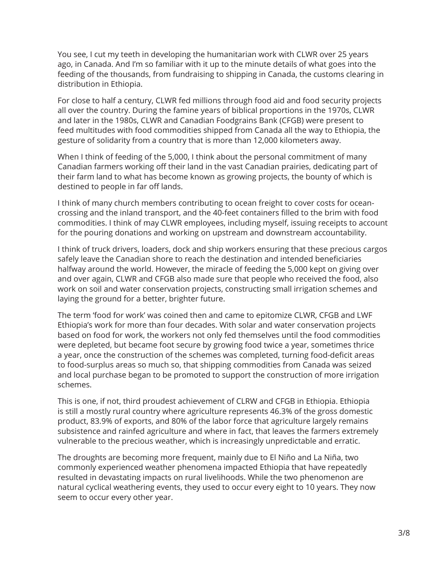You see, I cut my teeth in developing the humanitarian work with CLWR over 25 years ago, in Canada. And I'm so familiar with it up to the minute details of what goes into the feeding of the thousands, from fundraising to shipping in Canada, the customs clearing in distribution in Ethiopia.

For close to half a century, CLWR fed millions through food aid and food security projects all over the country. During the famine years of biblical proportions in the 1970s, CLWR and later in the 1980s, CLWR and Canadian Foodgrains Bank (CFGB) were present to feed multitudes with food commodities shipped from Canada all the way to Ethiopia, the gesture of solidarity from a country that is more than 12,000 kilometers away.

When I think of feeding of the 5,000, I think about the personal commitment of many Canadian farmers working off their land in the vast Canadian prairies, dedicating part of their farm land to what has become known as growing projects, the bounty of which is destined to people in far off lands.

I think of many church members contributing to ocean freight to cover costs for oceancrossing and the inland transport, and the 40-feet containers filled to the brim with food commodities. I think of may CLWR employees, including myself, issuing receipts to account for the pouring donations and working on upstream and downstream accountability.

I think of truck drivers, loaders, dock and ship workers ensuring that these precious cargos safely leave the Canadian shore to reach the destination and intended beneficiaries halfway around the world. However, the miracle of feeding the 5,000 kept on giving over and over again, CLWR and CFGB also made sure that people who received the food, also work on soil and water conservation projects, constructing small irrigation schemes and laying the ground for a better, brighter future.

The term 'food for work' was coined then and came to epitomize CLWR, CFGB and LWF Ethiopia's work for more than four decades. With solar and water conservation projects based on food for work, the workers not only fed themselves until the food commodities were depleted, but became foot secure by growing food twice a year, sometimes thrice a year, once the construction of the schemes was completed, turning food-deficit areas to food-surplus areas so much so, that shipping commodities from Canada was seized and local purchase began to be promoted to support the construction of more irrigation schemes.

This is one, if not, third proudest achievement of CLRW and CFGB in Ethiopia. Ethiopia is still a mostly rural country where agriculture represents 46.3% of the gross domestic product, 83.9% of exports, and 80% of the labor force that agriculture largely remains subsistence and rainfed agriculture and where in fact, that leaves the farmers extremely vulnerable to the precious weather, which is increasingly unpredictable and erratic.

The droughts are becoming more frequent, mainly due to El Niño and La Niña, two commonly experienced weather phenomena impacted Ethiopia that have repeatedly resulted in devastating impacts on rural livelihoods. While the two phenomenon are natural cyclical weathering events, they used to occur every eight to 10 years. They now seem to occur every other year.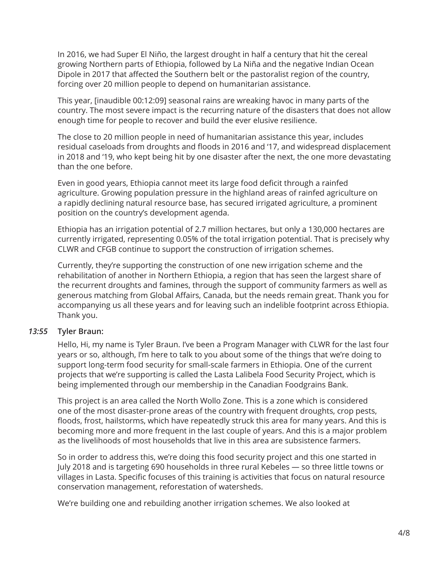In 2016, we had Super El Niño, the largest drought in half a century that hit the cereal growing Northern parts of Ethiopia, followed by La Niña and the negative Indian Ocean Dipole in 2017 that affected the Southern belt or the pastoralist region of the country, forcing over 20 million people to depend on humanitarian assistance.

This year, [inaudible 00:12:09] seasonal rains are wreaking havoc in many parts of the country. The most severe impact is the recurring nature of the disasters that does not allow enough time for people to recover and build the ever elusive resilience.

The close to 20 million people in need of humanitarian assistance this year, includes residual caseloads from droughts and floods in 2016 and '17, and widespread displacement in 2018 and '19, who kept being hit by one disaster after the next, the one more devastating than the one before.

Even in good years, Ethiopia cannot meet its large food deficit through a rainfed agriculture. Growing population pressure in the highland areas of rainfed agriculture on a rapidly declining natural resource base, has secured irrigated agriculture, a prominent position on the country's development agenda.

Ethiopia has an irrigation potential of 2.7 million hectares, but only a 130,000 hectares are currently irrigated, representing 0.05% of the total irrigation potential. That is precisely why CLWR and CFGB continue to support the construction of irrigation schemes.

Currently, they're supporting the construction of one new irrigation scheme and the rehabilitation of another in Northern Ethiopia, a region that has seen the largest share of the recurrent droughts and famines, through the support of community farmers as well as generous matching from Global Affairs, Canada, but the needs remain great. Thank you for accompanying us all these years and for leaving such an indelible footprint across Ethiopia. Thank you.

### **Tyler Braun:** *13:55*

Hello, Hi, my name is Tyler Braun. I've been a Program Manager with CLWR for the last four years or so, although, I'm here to talk to you about some of the things that we're doing to support long-term food security for small-scale farmers in Ethiopia. One of the current projects that we're supporting is called the Lasta Lalibela Food Security Project, which is being implemented through our membership in the Canadian Foodgrains Bank.

This project is an area called the North Wollo Zone. This is a zone which is considered one of the most disaster-prone areas of the country with frequent droughts, crop pests, floods, frost, hailstorms, which have repeatedly struck this area for many years. And this is becoming more and more frequent in the last couple of years. And this is a major problem as the livelihoods of most households that live in this area are subsistence farmers.

So in order to address this, we're doing this food security project and this one started in July 2018 and is targeting 690 households in three rural Kebeles — so three little towns or villages in Lasta. Specific focuses of this training is activities that focus on natural resource conservation management, reforestation of watersheds.

We're building one and rebuilding another irrigation schemes. We also looked at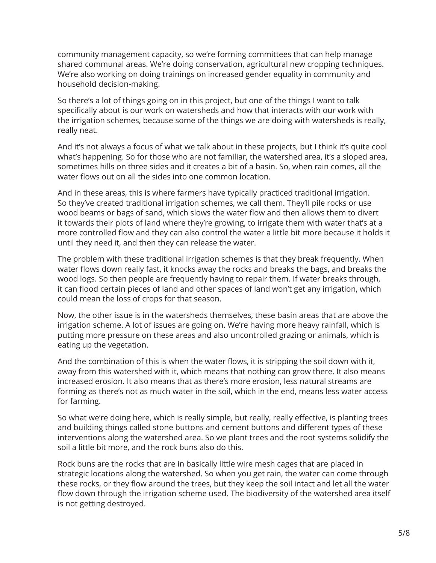community management capacity, so we're forming committees that can help manage shared communal areas. We're doing conservation, agricultural new cropping techniques. We're also working on doing trainings on increased gender equality in community and household decision-making.

So there's a lot of things going on in this project, but one of the things I want to talk specifically about is our work on watersheds and how that interacts with our work with the irrigation schemes, because some of the things we are doing with watersheds is really, really neat.

And it's not always a focus of what we talk about in these projects, but I think it's quite cool what's happening. So for those who are not familiar, the watershed area, it's a sloped area, sometimes hills on three sides and it creates a bit of a basin. So, when rain comes, all the water flows out on all the sides into one common location.

And in these areas, this is where farmers have typically practiced traditional irrigation. So they've created traditional irrigation schemes, we call them. They'll pile rocks or use wood beams or bags of sand, which slows the water flow and then allows them to divert it towards their plots of land where they're growing, to irrigate them with water that's at a more controlled flow and they can also control the water a little bit more because it holds it until they need it, and then they can release the water.

The problem with these traditional irrigation schemes is that they break frequently. When water flows down really fast, it knocks away the rocks and breaks the bags, and breaks the wood logs. So then people are frequently having to repair them. If water breaks through, it can flood certain pieces of land and other spaces of land won't get any irrigation, which could mean the loss of crops for that season.

Now, the other issue is in the watersheds themselves, these basin areas that are above the irrigation scheme. A lot of issues are going on. We're having more heavy rainfall, which is putting more pressure on these areas and also uncontrolled grazing or animals, which is eating up the vegetation.

And the combination of this is when the water flows, it is stripping the soil down with it, away from this watershed with it, which means that nothing can grow there. It also means increased erosion. It also means that as there's more erosion, less natural streams are forming as there's not as much water in the soil, which in the end, means less water access for farming.

So what we're doing here, which is really simple, but really, really effective, is planting trees and building things called stone buttons and cement buttons and different types of these interventions along the watershed area. So we plant trees and the root systems solidify the soil a little bit more, and the rock buns also do this.

Rock buns are the rocks that are in basically little wire mesh cages that are placed in strategic locations along the watershed. So when you get rain, the water can come through these rocks, or they flow around the trees, but they keep the soil intact and let all the water flow down through the irrigation scheme used. The biodiversity of the watershed area itself is not getting destroyed.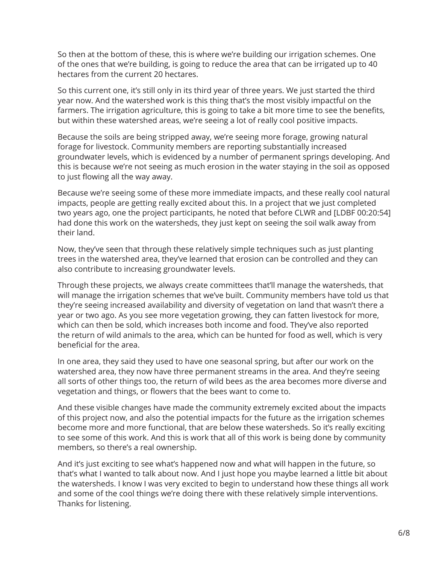So then at the bottom of these, this is where we're building our irrigation schemes. One of the ones that we're building, is going to reduce the area that can be irrigated up to 40 hectares from the current 20 hectares.

So this current one, it's still only in its third year of three years. We just started the third year now. And the watershed work is this thing that's the most visibly impactful on the farmers. The irrigation agriculture, this is going to take a bit more time to see the benefits, but within these watershed areas, we're seeing a lot of really cool positive impacts.

Because the soils are being stripped away, we're seeing more forage, growing natural forage for livestock. Community members are reporting substantially increased groundwater levels, which is evidenced by a number of permanent springs developing. And this is because we're not seeing as much erosion in the water staying in the soil as opposed to just flowing all the way away.

Because we're seeing some of these more immediate impacts, and these really cool natural impacts, people are getting really excited about this. In a project that we just completed two years ago, one the project participants, he noted that before CLWR and [LDBF 00:20:54] had done this work on the watersheds, they just kept on seeing the soil walk away from their land.

Now, they've seen that through these relatively simple techniques such as just planting trees in the watershed area, they've learned that erosion can be controlled and they can also contribute to increasing groundwater levels.

Through these projects, we always create committees that'll manage the watersheds, that will manage the irrigation schemes that we've built. Community members have told us that they're seeing increased availability and diversity of vegetation on land that wasn't there a year or two ago. As you see more vegetation growing, they can fatten livestock for more, which can then be sold, which increases both income and food. They've also reported the return of wild animals to the area, which can be hunted for food as well, which is very beneficial for the area.

In one area, they said they used to have one seasonal spring, but after our work on the watershed area, they now have three permanent streams in the area. And they're seeing all sorts of other things too, the return of wild bees as the area becomes more diverse and vegetation and things, or flowers that the bees want to come to.

And these visible changes have made the community extremely excited about the impacts of this project now, and also the potential impacts for the future as the irrigation schemes become more and more functional, that are below these watersheds. So it's really exciting to see some of this work. And this is work that all of this work is being done by community members, so there's a real ownership.

And it's just exciting to see what's happened now and what will happen in the future, so that's what I wanted to talk about now. And I just hope you maybe learned a little bit about the watersheds. I know I was very excited to begin to understand how these things all work and some of the cool things we're doing there with these relatively simple interventions. Thanks for listening.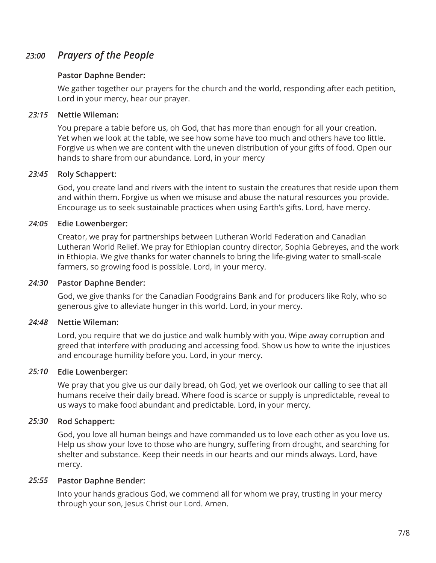### *Prayers of the People 23:00*

### **Pastor Daphne Bender:**

We gather together our prayers for the church and the world, responding after each petition, Lord in your mercy, hear our prayer.

### **Nettie Wileman:** *23:15*

You prepare a table before us, oh God, that has more than enough for all your creation. Yet when we look at the table, we see how some have too much and others have too little. Forgive us when we are content with the uneven distribution of your gifts of food. Open our hands to share from our abundance. Lord, in your mercy

### **Roly Schappert:** *23:45*

God, you create land and rivers with the intent to sustain the creatures that reside upon them and within them. Forgive us when we misuse and abuse the natural resources you provide. Encourage us to seek sustainable practices when using Earth's gifts. Lord, have mercy.

### **Edie Lowenberger:** *24:05*

Creator, we pray for partnerships between Lutheran World Federation and Canadian Lutheran World Relief. We pray for Ethiopian country director, Sophia Gebreyes, and the work in Ethiopia. We give thanks for water channels to bring the life-giving water to small-scale farmers, so growing food is possible. Lord, in your mercy.

### **Pastor Daphne Bender:** *24:30*

God, we give thanks for the Canadian Foodgrains Bank and for producers like Roly, who so generous give to alleviate hunger in this world. Lord, in your mercy.

### **Nettie Wileman:** *24:48*

Lord, you require that we do justice and walk humbly with you. Wipe away corruption and greed that interfere with producing and accessing food. Show us how to write the injustices and encourage humility before you. Lord, in your mercy.

### **Edie Lowenberger:** *25:10*

We pray that you give us our daily bread, oh God, yet we overlook our calling to see that all humans receive their daily bread. Where food is scarce or supply is unpredictable, reveal to us ways to make food abundant and predictable. Lord, in your mercy.

### **Rod Schappert:** *25:30*

God, you love all human beings and have commanded us to love each other as you love us. Help us show your love to those who are hungry, suffering from drought, and searching for shelter and substance. Keep their needs in our hearts and our minds always. Lord, have mercy.

### **Pastor Daphne Bender:** *25:55*

Into your hands gracious God, we commend all for whom we pray, trusting in your mercy through your son, Jesus Christ our Lord. Amen.